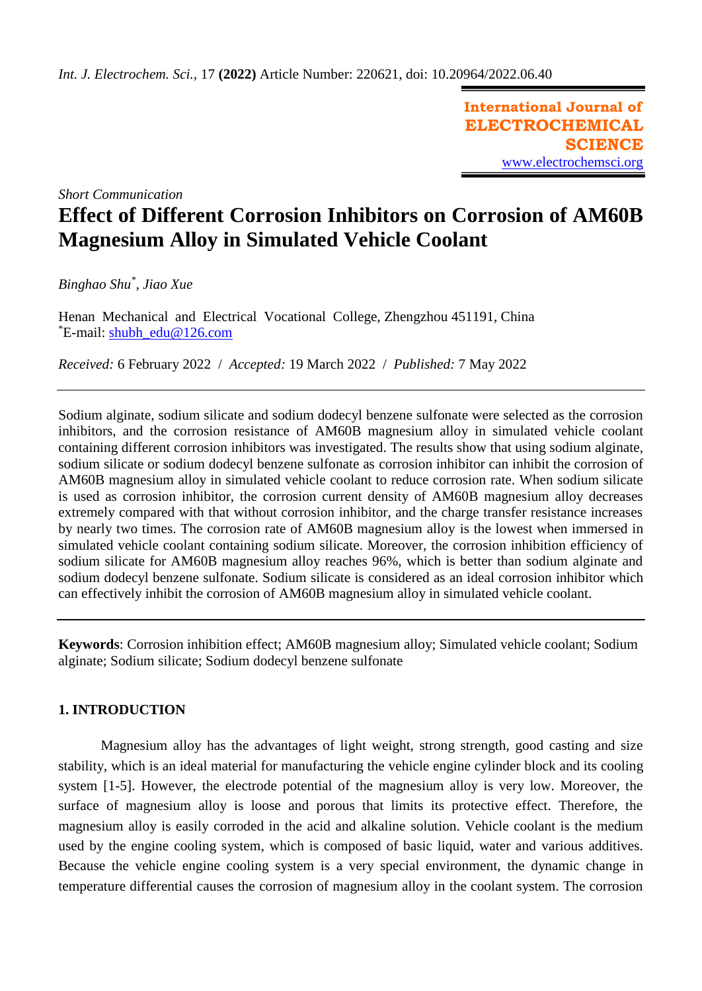**International Journal of ELECTROCHEMICAL SCIENCE** [www.electrochemsci.org](http://www.electrochemsci.org/)

*Short Communication*

# **Effect of Different Corrosion Inhibitors on Corrosion of AM60B Magnesium Alloy in Simulated Vehicle Coolant**

*Binghao Shu\* , Jiao Xue*

Henan Mechanical and Electrical Vocational College, Zhengzhou 451191, China \*E-mail: [shubh\\_edu@126.com](mailto:shubh_edu@126.com)

*Received:* 6 February 2022/ *Accepted:* 19 March 2022 / *Published:* 7 May 2022

Sodium alginate, sodium silicate and sodium dodecyl benzene sulfonate were selected as the corrosion inhibitors, and the corrosion resistance of AM60B magnesium alloy in simulated vehicle coolant containing different corrosion inhibitors was investigated. The results show that using sodium alginate, sodium silicate or sodium dodecyl benzene sulfonate as corrosion inhibitor can inhibit the corrosion of AM60B magnesium alloy in simulated vehicle coolant to reduce corrosion rate. When sodium silicate is used as corrosion inhibitor, the corrosion current density of AM60B magnesium alloy decreases extremely compared with that without corrosion inhibitor, and the charge transfer resistance increases by nearly two times. The corrosion rate of AM60B magnesium alloy is the lowest when immersed in simulated vehicle coolant containing sodium silicate. Moreover, the corrosion inhibition efficiency of sodium silicate for AM60B magnesium alloy reaches 96%, which is better than sodium alginate and sodium dodecyl benzene sulfonate. Sodium silicate is considered as an ideal corrosion inhibitor which can effectively inhibit the corrosion of AM60B magnesium alloy in simulated vehicle coolant.

**Keywords**: Corrosion inhibition effect; AM60B magnesium alloy; Simulated vehicle coolant; Sodium alginate; Sodium silicate; Sodium dodecyl benzene sulfonate

# **1. INTRODUCTION**

Magnesium alloy has the advantages of light weight, strong strength, good casting and size stability, which is an ideal material for manufacturing the vehicle engine cylinder block and its cooling system [1-5]. However, the electrode potential of the magnesium alloy is very low. Moreover, the surface of magnesium alloy is loose and porous that limits its protective effect. Therefore, the magnesium alloy is easily corroded in the acid and alkaline solution. Vehicle coolant is the medium used by the engine cooling system, which is composed of basic liquid, water and various additives. Because the vehicle engine cooling system is a very special environment, the dynamic change in temperature differential causes the corrosion of magnesium alloy in the coolant system. The corrosion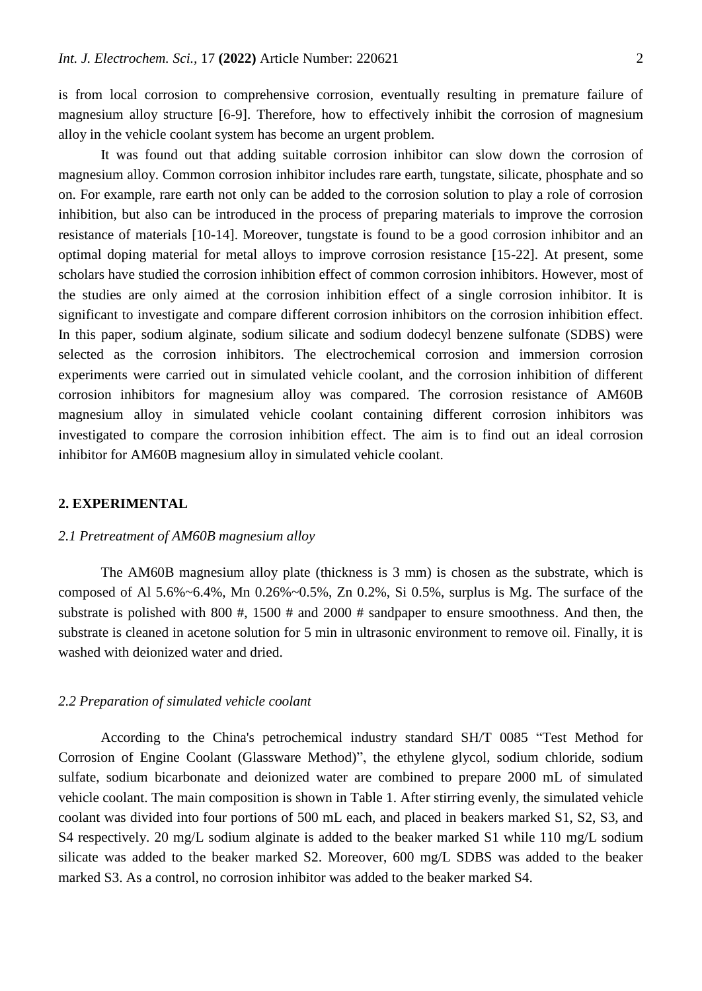is from local corrosion to comprehensive corrosion, eventually resulting in premature failure of magnesium alloy structure [6-9]. Therefore, how to effectively inhibit the corrosion of magnesium alloy in the vehicle coolant system has become an urgent problem.

It was found out that adding suitable corrosion inhibitor can slow down the corrosion of magnesium alloy. Common corrosion inhibitor includes rare earth, [tungstate, silicate,](file:///D:/Program%20Files/Dict/7.5.2.0/resultui/dict/) phosphate and so on. For example, rare earth not only can be added to the corrosion solution to play a role of corrosion inhibition, but also can be introduced in the process of preparing materials to improve the corrosion resistance of materials [10-14]. Moreover, tungstate is found to be a good corrosion inhibitor and an optimal doping material for metal alloys to improve corrosion resistance [15-22]. At present, some scholars have studied the corrosion inhibition effect of common corrosion inhibitors. However, most of the studies are only aimed at the corrosion inhibition effect of a single corrosion inhibitor. It is significant to investigate and compare different corrosion inhibitors on the corrosion inhibition effect. In this paper, sodium alginate, sodium silicate and sodium dodecyl benzene sulfonate (SDBS) were selected as the corrosion inhibitors. The electrochemical corrosion and immersion corrosion experiments were carried out in simulated vehicle coolant, and the corrosion inhibition of different corrosion inhibitors for magnesium alloy was compared. The corrosion resistance of AM60B magnesium alloy in simulated vehicle coolant containing different corrosion inhibitors was investigated to compare the corrosion inhibition effect. The aim is to find out an ideal corrosion inhibitor for AM60B magnesium alloy in simulated vehicle coolant.

#### **2. EXPERIMENTAL**

## *2.1 Pretreatment of AM60B magnesium alloy*

The AM60B magnesium alloy plate (thickness is 3 mm) is chosen as the substrate, which is composed of Al  $5.6\%~6.4\%$ , Mn  $0.26\%~0.5\%$ , Zn  $0.2\%$ , Si  $0.5\%$ , surplus is Mg. The surface of the substrate is polished with 800 #, 1500 # and 2000 # sandpaper to ensure smoothness. And then, the substrate is cleaned in acetone solution for 5 min in ultrasonic environment to remove oil. Finally, it is washed with deionized water and dried.

## *2.2 Preparation of simulated vehicle coolant*

According to the China's petrochemical industry standard SH/T 0085 "Test Method for Corrosion of Engine Coolant (Glassware Method)", the ethylene glycol, sodium chloride, sodium sulfate, sodium bicarbonate and deionized water are combined to prepare 2000 mL of simulated vehicle coolant. The main composition is shown in Table 1. After stirring evenly, the simulated vehicle coolant was divided into four portions of 500 mL each, and placed in beakers marked S1, S2, S3, and S4 respectively. 20 mg/L sodium alginate is added to the beaker marked S1 while 110 mg/L sodium silicate was added to the beaker marked S2. Moreover, 600 mg/L SDBS was added to the beaker marked S3. As a control, no corrosion inhibitor was added to the beaker marked S4.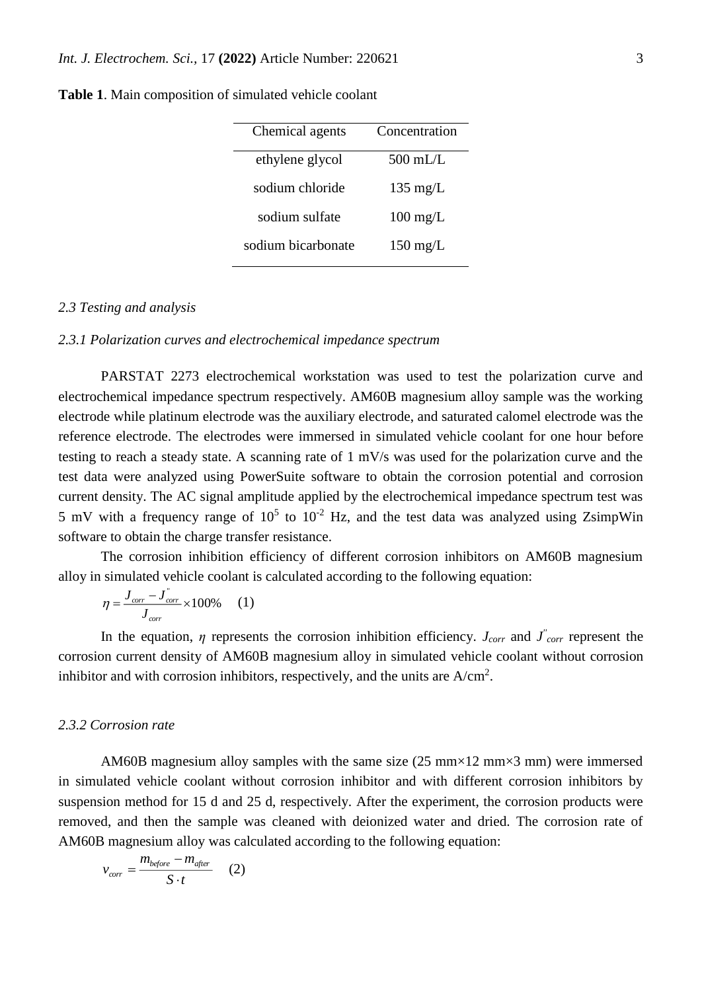| Chemical agents    | Concentration      |
|--------------------|--------------------|
| ethylene glycol    | 500 mL $\pi$ .     |
| sodium chloride    | $135 \text{ mg/L}$ |
| sodium sulfate     | $100 \text{ mg/L}$ |
| sodium bicarbonate | $150 \text{ mg/L}$ |
|                    |                    |

**Table 1**. Main composition of simulated vehicle coolant

#### *2.3 Testing and analysis*

#### *2.3.1 Polarization curves and electrochemical impedance spectrum*

PARSTAT 2273 electrochemical workstation was used to test the polarization curve and electrochemical impedance spectrum respectively. AM60B magnesium alloy sample was the working electrode while platinum electrode was the auxiliary electrode, and saturated calomel electrode was the reference electrode. The electrodes were immersed in simulated vehicle coolant for one hour before testing to reach a steady state. A scanning rate of 1 mV/s was used for the polarization curve and the test data were analyzed using PowerSuite software to obtain the corrosion potential and corrosion current density. The AC signal amplitude applied by the electrochemical impedance spectrum test was 5 mV with a frequency range of  $10^5$  to  $10^{-2}$  Hz, and the test data was analyzed using ZsimpWin software to obtain the charge transfer resistance.

The corrosion inhibition efficiency of different corrosion inhibitors on AM60B magnesium alloy in simulated vehicle coolant is calculated according to the following equation:

$$
\eta = \frac{J_{corr} - J_{corr}^{\dagger}}{J_{corr}} \times 100\% \qquad (1)
$$

In the equation,  $\eta$  represents the corrosion inhibition efficiency. *J*<sub>*corr*</sub> and *J*<sup>*'*</sup><sub>*corr*</sub> represent the corrosion current density of AM60B magnesium alloy in simulated vehicle coolant without corrosion inhibitor and with corrosion inhibitors, respectively, and the units are  $A/cm<sup>2</sup>$ .

## *2.3.2 Corrosion rate*

AM60B magnesium alloy samples with the same size  $(25 \text{ mm} \times 12 \text{ mm} \times 3 \text{ mm})$  were immersed in simulated vehicle coolant without corrosion inhibitor and with different corrosion inhibitors by suspension method for 15 d and 25 d, respectively. After the experiment, the corrosion products were removed, and then the sample was cleaned with deionized water and dried. The corrosion rate of AM60B magnesium alloy was calculated according to the following equation:

$$
v_{corr} = \frac{m_{before} - m_{after}}{S \cdot t}
$$
 (2)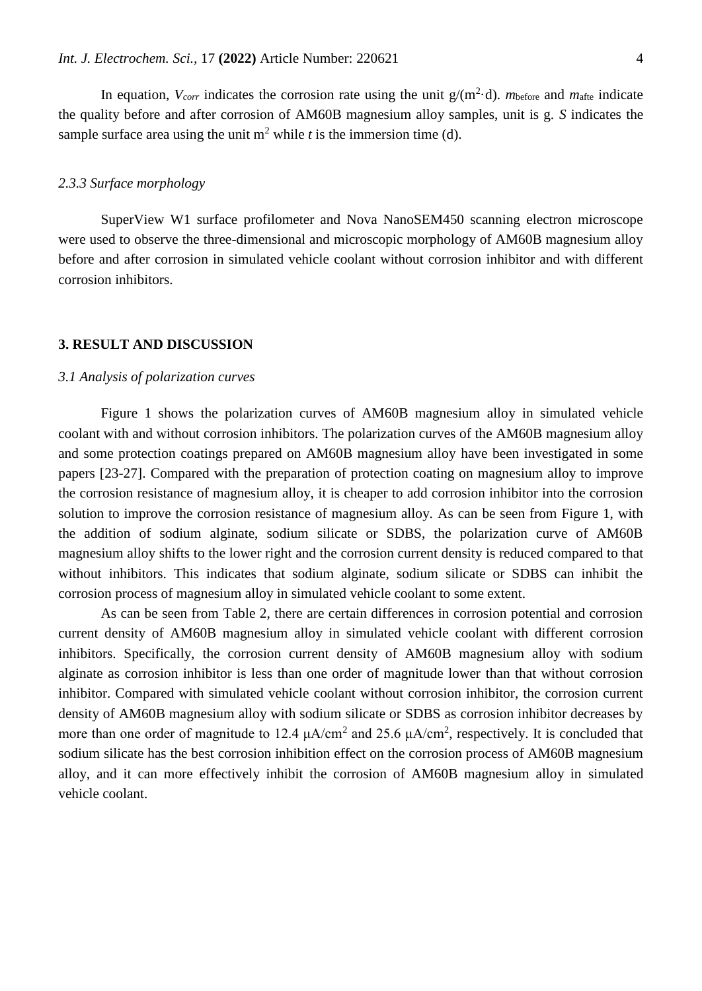In equation,  $V_{corr}$  indicates the corrosion rate using the unit  $g/(m^2 \cdot d)$ . *m*before and *m*<sub>afte</sub> indicate the quality before and after corrosion of AM60B magnesium alloy samples, unit is g. *S* indicates the sample surface area using the unit  $m^2$  while *t* is the immersion time (d).

#### *2.3.3 Surface morphology*

SuperView W1 surface profilometer and Nova NanoSEM450 scanning electron microscope were used to observe the three-dimensional and microscopic morphology of AM60B magnesium alloy before and after corrosion in simulated vehicle coolant without corrosion inhibitor and with different corrosion inhibitors.

## **3. RESULT AND DISCUSSION**

#### *3.1 Analysis of polarization curves*

Figure 1 shows the polarization curves of AM60B magnesium alloy in simulated vehicle coolant with and without corrosion inhibitors. The polarization curves of the AM60B magnesium alloy and some protection coatings prepared on AM60B magnesium alloy have been investigated in some papers [23-27]. Compared with the preparation of protection coating on magnesium alloy to improve the corrosion resistance of magnesium alloy, it is cheaper to add corrosion inhibitor into the corrosion solution to improve the corrosion resistance of magnesium alloy. As can be seen from Figure 1, with the addition of sodium alginate, sodium silicate or SDBS, the polarization curve of AM60B magnesium alloy shifts to the lower right and the corrosion current density is reduced compared to that without inhibitors. This indicates that sodium alginate, sodium silicate or SDBS can inhibit the corrosion process of magnesium alloy in simulated vehicle coolant to some extent.

As can be seen from Table 2, there are certain differences in corrosion potential and corrosion current density of AM60B magnesium alloy in simulated vehicle coolant with different corrosion inhibitors. Specifically, the corrosion current density of AM60B magnesium alloy with sodium alginate as corrosion inhibitor is less than one order of magnitude lower than that without corrosion inhibitor. Compared with simulated vehicle coolant without corrosion inhibitor, the corrosion current density of AM60B magnesium alloy with sodium silicate or SDBS as corrosion inhibitor decreases by more than one order of magnitude to 12.4  $\mu A/cm^2$  and 25.6  $\mu A/cm^2$ , respectively. It is concluded that sodium silicate has the best corrosion inhibition effect on the corrosion process of AM60B magnesium alloy, and it can more effectively inhibit the corrosion of AM60B magnesium alloy in simulated vehicle coolant.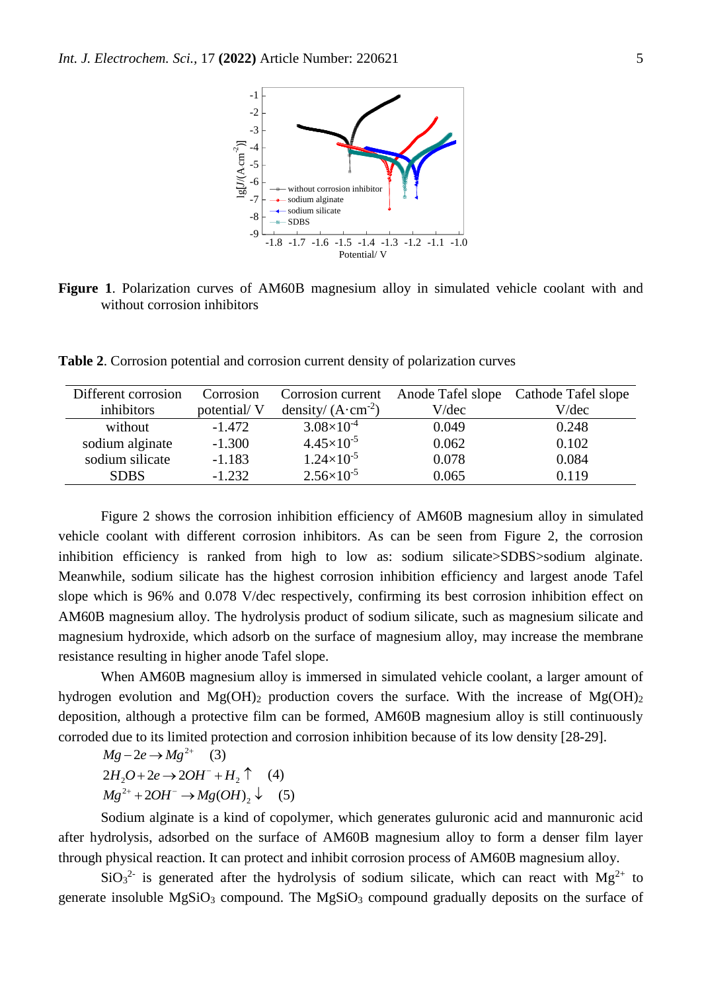

**Figure 1**. Polarization curves of AM60B magnesium alloy in simulated vehicle coolant with and without corrosion inhibitors

**Table 2**. Corrosion potential and corrosion current density of polarization curves

| Different corrosion | Corrosion   | Corrosion current            | Anode Tafel slope | Cathode Tafel slope |
|---------------------|-------------|------------------------------|-------------------|---------------------|
| inhibitors          | potential/V | density/ $(A \cdot cm^{-2})$ | V/dec             | V/dec               |
| without             | $-1.472$    | $3.08\times10^{-4}$          | 0.049             | 0.248               |
| sodium alginate     | $-1.300$    | $4.45\times10^{-5}$          | 0.062             | 0.102               |
| sodium silicate     | $-1.183$    | $1.24\times10^{-5}$          | 0.078             | 0.084               |
| <b>SDBS</b>         | $-1.232$    | $2.56 \times 10^{-5}$        | 0.065             | 0.119               |

Figure 2 shows the corrosion inhibition efficiency of AM60B magnesium alloy in simulated vehicle coolant with different corrosion inhibitors. As can be seen from Figure 2, the corrosion inhibition efficiency is ranked from high to low as: sodium silicate>SDBS>sodium alginate. Meanwhile, sodium silicate has the highest corrosion inhibition efficiency and largest anode Tafel slope which is 96% and 0.078 V/dec respectively, confirming its best corrosion inhibition effect on AM60B magnesium alloy. The hydrolysis product of sodium silicate, such as magnesium silicate and magnesium hydroxide, which adsorb on the surface of magnesium alloy, may increase the membrane resistance resulting in higher anode Tafel slope.

When AM60B magnesium alloy is immersed in simulated vehicle coolant, a larger amount of hydrogen evolution and  $Mg(OH)_2$  production covers the surface. With the increase of  $Mg(OH)_2$ deposition, although a protective film can be formed, AM60B magnesium alloy is still continuously corroded due to its limited protection and corrosion inhibition because of its low density [28-29].

$$
Mg - 2e \rightarrow Mg^{2+} \quad (3)
$$
  
\n
$$
2H_2O + 2e \rightarrow 2OH^- + H_2 \uparrow \quad (4)
$$
  
\n
$$
Mg^{2+} + 2OH^- \rightarrow Mg(OH)_2 \downarrow \quad (5)
$$

Sodium alginate is a kind of copolymer, which generates guluronic acid and mannuronic acid after hydrolysis, adsorbed on the surface of AM60B magnesium alloy to form a denser film layer through physical reaction. It can protect and inhibit corrosion process of AM60B magnesium alloy.

 $SiO<sub>3</sub><sup>2</sup>$  is generated after the hydrolysis of sodium silicate, which can react with Mg<sup>2+</sup> to generate insoluble  $MgSiO<sub>3</sub>$  compound. The  $MgSiO<sub>3</sub>$  compound gradually deposits on the surface of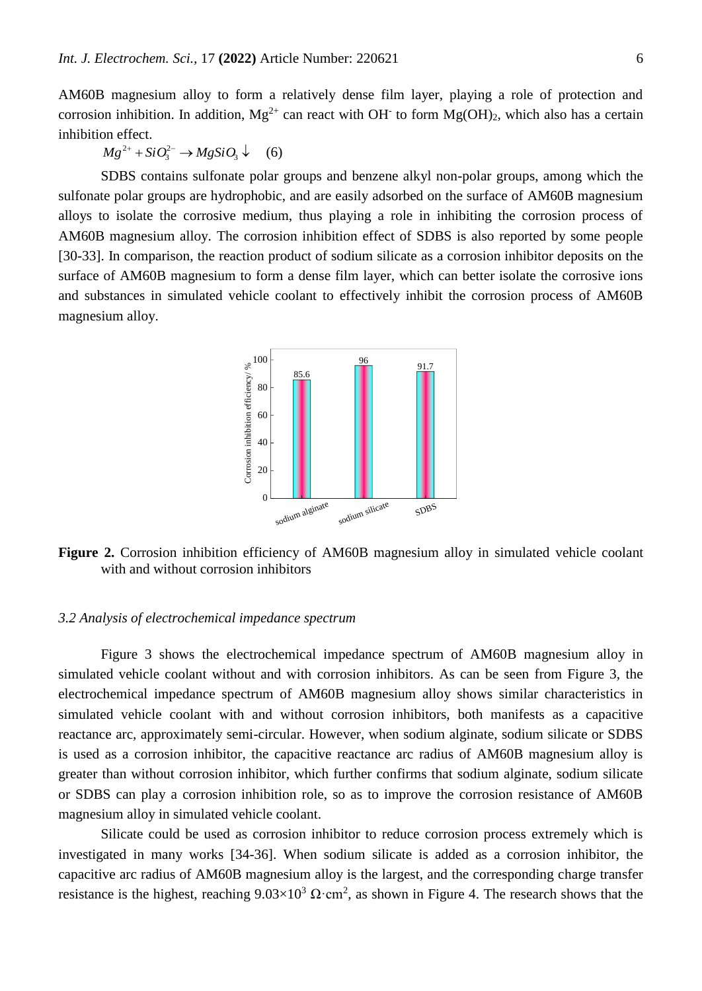AM60B magnesium alloy to form a relatively dense film layer, playing a role of protection and corrosion inhibition. In addition,  $Mg^{2+}$  can react with OH<sup>-</sup> to form  $Mg(OH)_2$ , which also has a certain inhibition effect.

 $Mg^{2+} + SiO_3^{2-} \rightarrow MgSiO_3 \downarrow$  (6)

SDBS contains sulfonate polar groups and benzene alkyl non-polar groups, among which the sulfonate polar groups are hydrophobic, and are easily adsorbed on the surface of AM60B magnesium alloys to isolate the corrosive medium, thus playing a role in inhibiting the corrosion process of AM60B magnesium alloy. The corrosion inhibition effect of SDBS is also reported by some people [30-33]. In comparison, the reaction product of sodium silicate as a corrosion inhibitor deposits on the surface of AM60B magnesium to form a dense film layer, which can better isolate the corrosive ions and substances in simulated vehicle coolant to effectively inhibit the corrosion process of AM60B magnesium alloy.



**Figure 2.** Corrosion inhibition efficiency of AM60B magnesium alloy in simulated vehicle coolant with and without corrosion inhibitors

#### *3.2 Analysis of electrochemical impedance spectrum*

Figure 3 shows the electrochemical impedance spectrum of AM60B magnesium alloy in simulated vehicle coolant without and with corrosion inhibitors. As can be seen from Figure 3, the electrochemical impedance spectrum of AM60B magnesium alloy shows similar characteristics in simulated vehicle coolant with and without corrosion inhibitors, both manifests as a capacitive reactance arc, approximately semi-circular. However, when sodium alginate, sodium silicate or SDBS is used as a corrosion inhibitor, the capacitive reactance arc radius of AM60B magnesium alloy is greater than without corrosion inhibitor, which further confirms that sodium alginate, sodium silicate or SDBS can play a corrosion inhibition role, so as to improve the corrosion resistance of AM60B magnesium alloy in simulated vehicle coolant.

Silicate could be used as corrosion inhibitor to reduce corrosion process extremely which is investigated in many works [34-36]. When sodium silicate is added as a corrosion inhibitor, the capacitive arc radius of AM60B magnesium alloy is the largest, and the corresponding charge transfer resistance is the highest, reaching  $9.03 \times 10^3 \Omega \cdot \text{cm}^2$ , as shown in Figure 4. The research shows that the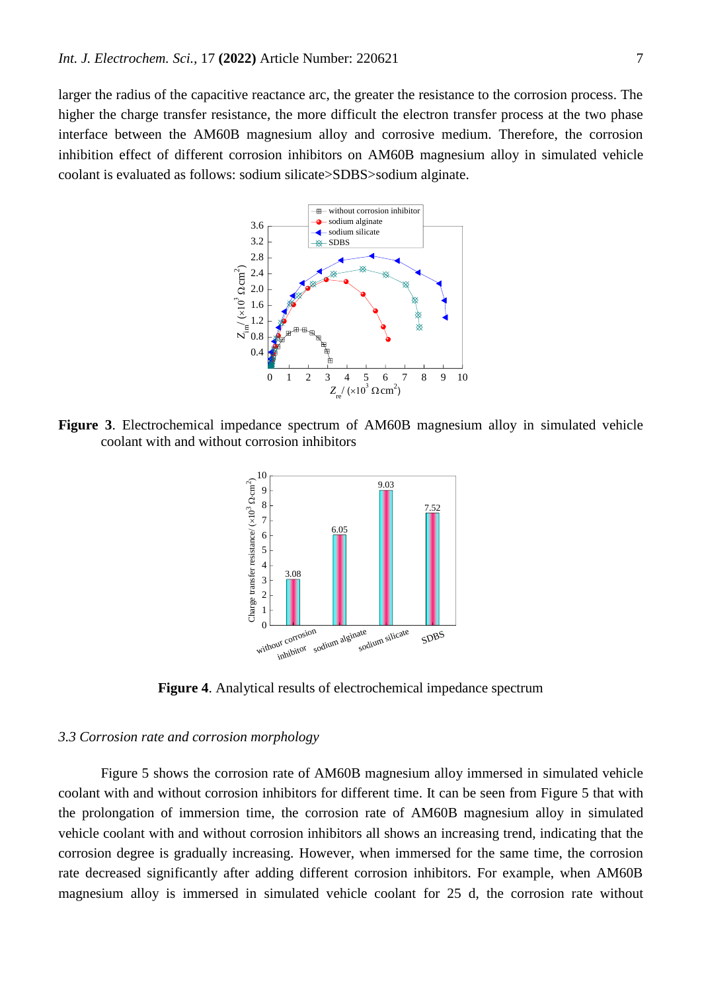larger the radius of the capacitive reactance arc, the greater the resistance to the corrosion process. The higher the charge transfer resistance, the more difficult the electron transfer process at the two phase interface between the AM60B magnesium alloy and corrosive medium. Therefore, the corrosion inhibition effect of different corrosion inhibitors on AM60B magnesium alloy in simulated vehicle coolant is evaluated as follows: sodium silicate>SDBS>sodium alginate.



**Figure 3**. Electrochemical impedance spectrum of AM60B magnesium alloy in simulated vehicle coolant with and without corrosion inhibitors



**Figure 4**. Analytical results of electrochemical impedance spectrum

#### *3.3 Corrosion rate and corrosion morphology*

Figure 5 shows the corrosion rate of AM60B magnesium alloy immersed in simulated vehicle coolant with and without corrosion inhibitors for different time. It can be seen from Figure 5 that with the prolongation of immersion time, the corrosion rate of AM60B magnesium alloy in simulated vehicle coolant with and without corrosion inhibitors all shows an increasing trend, indicating that the corrosion degree is gradually increasing. However, when immersed for the same time, the corrosion rate decreased significantly after adding different corrosion inhibitors. For example, when AM60B magnesium alloy is immersed in simulated vehicle coolant for 25 d, the corrosion rate without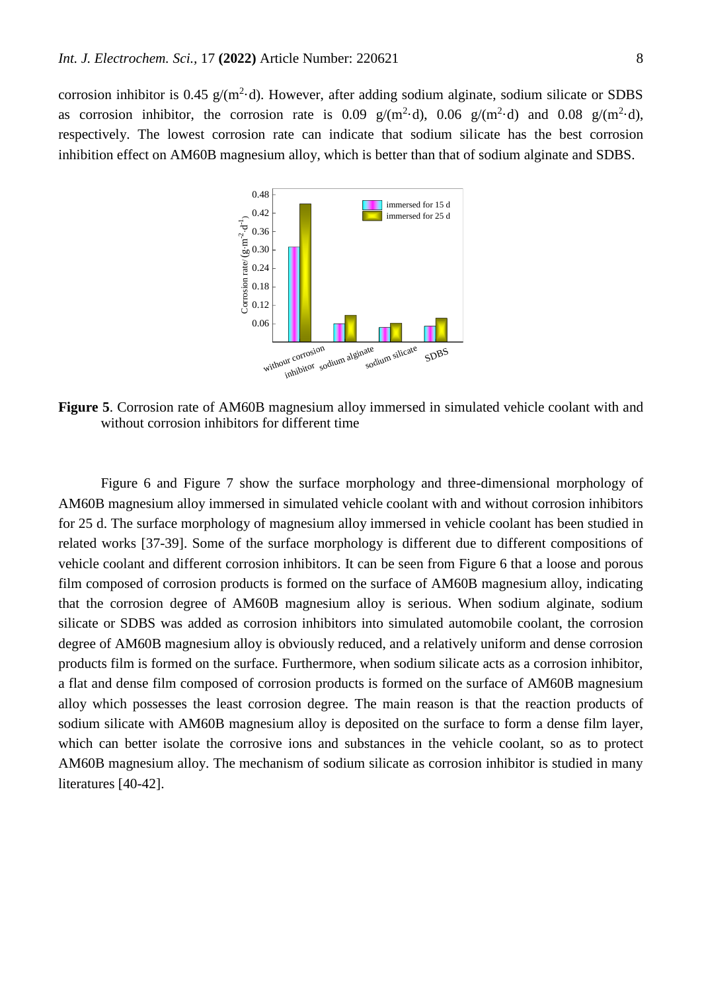corrosion inhibitor is 0.45  $g/(m^2 \cdot d)$ . However, after adding sodium alginate, sodium silicate or SDBS as corrosion inhibitor, the corrosion rate is 0.09  $g/(m^2 \cdot d)$ , 0.06  $g/(m^2 \cdot d)$  and 0.08  $g/(m^2 \cdot d)$ , respectively. The lowest corrosion rate can indicate that sodium silicate has the best corrosion inhibition effect on AM60B magnesium alloy, which is better than that of sodium alginate and SDBS.



**Figure 5**. Corrosion rate of AM60B magnesium alloy immersed in simulated vehicle coolant with and without corrosion inhibitors for different time

Figure 6 and Figure 7 show the surface morphology and three-dimensional morphology of AM60B magnesium alloy immersed in simulated vehicle coolant with and without corrosion inhibitors for 25 d. The surface morphology of magnesium alloy immersed in vehicle coolant has been studied in related works [37-39]. Some of the surface morphology is different due to different compositions of vehicle coolant and different corrosion inhibitors. It can be seen from Figure 6 that a loose and porous film composed of corrosion products is formed on the surface of AM60B magnesium alloy, indicating that the corrosion degree of AM60B magnesium alloy is serious. When sodium alginate, sodium silicate or SDBS was added as corrosion inhibitors into simulated automobile coolant, the corrosion degree of AM60B magnesium alloy is obviously reduced, and a relatively uniform and dense corrosion products film is formed on the surface. Furthermore, when sodium silicate acts as a corrosion inhibitor, a flat and dense film composed of corrosion products is formed on the surface of AM60B magnesium alloy which possesses the least corrosion degree. The main reason is that the reaction products of sodium silicate with AM60B magnesium alloy is deposited on the surface to form a dense film layer, which can better isolate the corrosive ions and substances in the vehicle coolant, so as to protect AM60B magnesium alloy. The mechanism of sodium silicate as corrosion inhibitor is studied in many literatures [40-42].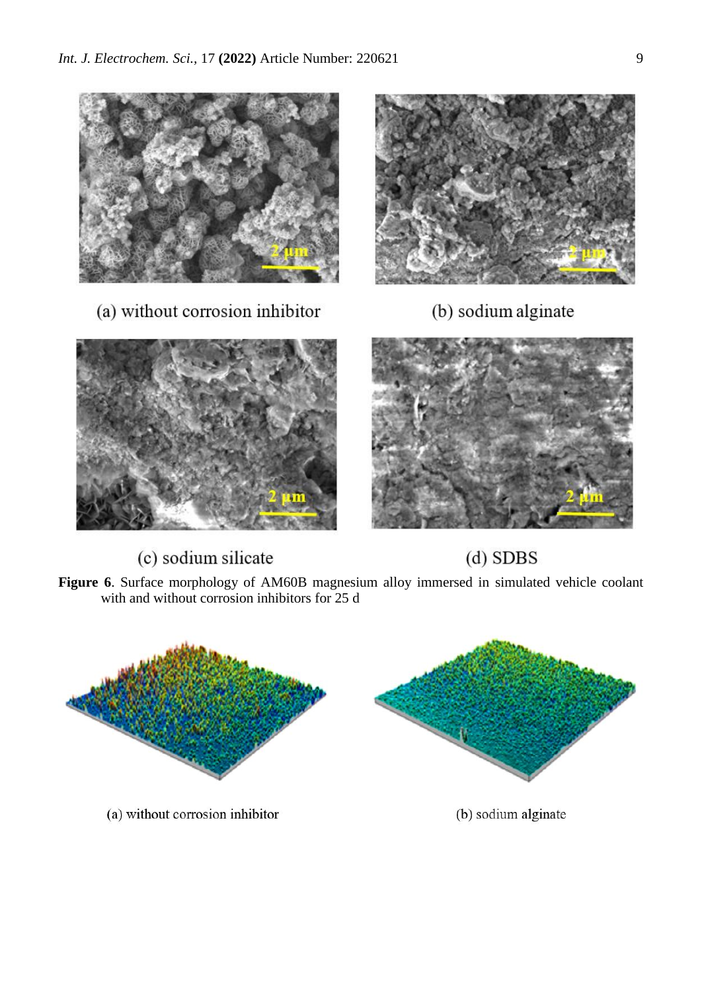

(a) without corrosion inhibitor





(c) sodium silicate



 $(d)$  SDBS

**Figure 6**. Surface morphology of AM60B magnesium alloy immersed in simulated vehicle coolant with and without corrosion inhibitors for 25 d

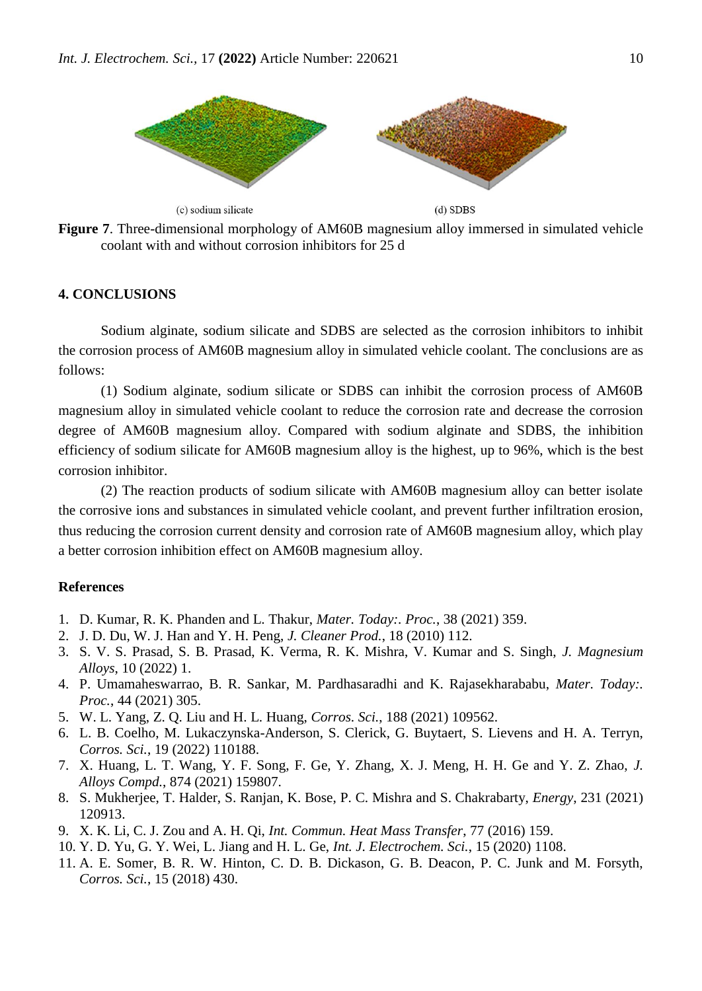

**Figure 7**. Three-dimensional morphology of AM60B magnesium alloy immersed in simulated vehicle coolant with and without corrosion inhibitors for 25 d

# **4. CONCLUSIONS**

Sodium alginate, sodium silicate and SDBS are selected as the corrosion inhibitors to inhibit the corrosion process of AM60B magnesium alloy in simulated vehicle coolant. The conclusions are as follows:

(1) Sodium alginate, sodium silicate or SDBS can inhibit the corrosion process of AM60B magnesium alloy in simulated vehicle coolant to reduce the corrosion rate and decrease the corrosion degree of AM60B magnesium alloy. Compared with sodium alginate and SDBS, the inhibition efficiency of sodium silicate for AM60B magnesium alloy is the highest, up to 96%, which is the best corrosion inhibitor.

(2) The reaction products of sodium silicate with AM60B magnesium alloy can better isolate the corrosive ions and substances in simulated vehicle coolant, and prevent further infiltration erosion, thus reducing the corrosion current density and corrosion rate of AM60B magnesium alloy, which play a better corrosion inhibition effect on AM60B magnesium alloy.

# **References**

- 1. D. Kumar, R. K. Phanden and L. Thakur, *Mater. Today:. Proc.*, 38 (2021) 359.
- 2. J. D. Du, W. J. Han and Y. H. Peng, *J. Cleaner Prod.*, 18 (2010) 112.
- 3. S. V. S. Prasad, S. B. Prasad, K. Verma, R. K. Mishra, V. Kumar and S. Singh, *J. Magnesium Alloys*, 10 (2022) 1.
- 4. P. Umamaheswarrao, B. R. Sankar, M. Pardhasaradhi and K. Rajasekharababu, *Mater. Today:. Proc.*, 44 (2021) 305.
- 5. W. L. Yang, Z. Q. Liu and H. L. Huang, *Corros. Sci.*, 188 (2021) 109562.
- 6. L. B. Coelho, M. Lukaczynska-Anderson, S. Clerick, G. Buytaert, S. Lievens and H. A. Terryn, *Corros. Sci.*, 19 (2022) 110188.
- 7. X. Huang, L. T. Wang, Y. F. Song, F. Ge, Y. Zhang, X. J. Meng, H. H. Ge and Y. Z. Zhao, *J. Alloys Compd.*, 874 (2021) 159807.
- 8. S. Mukherjee, T. Halder, S. Ranjan, K. Bose, P. C. Mishra and S. Chakrabarty, *Energy*, 231 (2021) 120913.
- 9. X. K. Li, C. J. Zou and A. H. Qi, *Int. Commun. Heat Mass Transfer*, 77 (2016) 159.
- 10. Y. D. Yu, G. Y. Wei, L. Jiang and H. L. Ge, *Int. J. Electrochem. Sci.*, 15 (2020) 1108.
- 11. A. E. Somer, B. R. W. Hinton, C. D. B. Dickason, G. B. Deacon, P. C. Junk and M. Forsyth, *Corros. Sci.*, 15 (2018) 430.